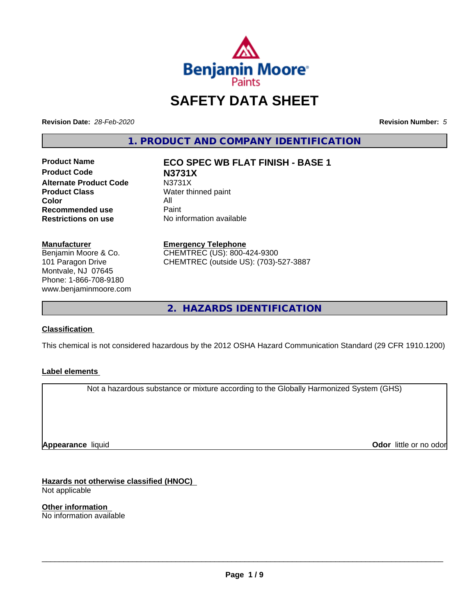

# **SAFETY DATA SHEET**

**Revision Date:** *28-Feb-2020* **Revision Number:** *5*

**1. PRODUCT AND COMPANY IDENTIFICATION**

**Product Code N3731X Alternate Product Code M3731X**<br>**Product Class Mater th** Water th **Color** All<br> **Recommended use** Paint **Recommended use**<br>Restrictions on use

**Product Name ECO SPEC WB FLAT FINISH - BASE 1**

**Water thinned paint No information available** 

#### **Manufacturer**

Benjamin Moore & Co. 101 Paragon Drive Montvale, NJ 07645 Phone: 1-866-708-9180 www.benjaminmoore.com

#### **Emergency Telephone**

CHEMTREC (US): 800-424-9300 CHEMTREC (outside US): (703)-527-3887

**2. HAZARDS IDENTIFICATION**

#### **Classification**

This chemical is not considered hazardous by the 2012 OSHA Hazard Communication Standard (29 CFR 1910.1200)

#### **Label elements**

Not a hazardous substance or mixture according to the Globally Harmonized System (GHS)

**Appearance** liquid

**Odor** little or no odor

**Hazards not otherwise classified (HNOC)** Not applicable

**Other information** No information available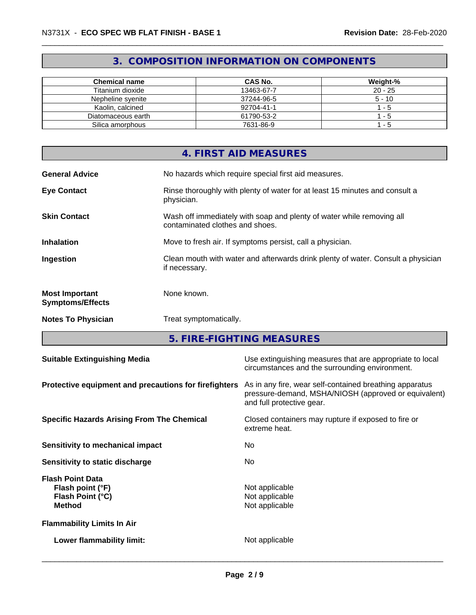# **3. COMPOSITION INFORMATION ON COMPONENTS**

| <b>Chemical name</b> | CAS No.    | Weight-%  |
|----------------------|------------|-----------|
| Titanium dioxide     | 13463-67-7 | $20 - 25$ |
| Nepheline svenite    | 37244-96-5 | $5 - 10$  |
| Kaolin, calcined     | 92704-41-1 | - 5       |
| Diatomaceous earth   | 61790-53-2 | - 5       |
| Silica amorphous     | 7631-86-9  | - 5       |

|                                                  | 4. FIRST AID MEASURES                                                                                    |
|--------------------------------------------------|----------------------------------------------------------------------------------------------------------|
| <b>General Advice</b>                            | No hazards which require special first aid measures.                                                     |
| <b>Eye Contact</b>                               | Rinse thoroughly with plenty of water for at least 15 minutes and consult a<br>physician.                |
| <b>Skin Contact</b>                              | Wash off immediately with soap and plenty of water while removing all<br>contaminated clothes and shoes. |
| <b>Inhalation</b>                                | Move to fresh air. If symptoms persist, call a physician.                                                |
| Ingestion                                        | Clean mouth with water and afterwards drink plenty of water. Consult a physician<br>if necessary.        |
| <b>Most Important</b><br><b>Symptoms/Effects</b> | None known.                                                                                              |
| <b>Notes To Physician</b>                        | Treat symptomatically.                                                                                   |

**5. FIRE-FIGHTING MEASURES**

| <b>Suitable Extinguishing Media</b>                                              | Use extinguishing measures that are appropriate to local<br>circumstances and the surrounding environment.                                   |
|----------------------------------------------------------------------------------|----------------------------------------------------------------------------------------------------------------------------------------------|
| Protective equipment and precautions for firefighters                            | As in any fire, wear self-contained breathing apparatus<br>pressure-demand, MSHA/NIOSH (approved or equivalent)<br>and full protective gear. |
| <b>Specific Hazards Arising From The Chemical</b>                                | Closed containers may rupture if exposed to fire or<br>extreme heat.                                                                         |
| <b>Sensitivity to mechanical impact</b>                                          | No.                                                                                                                                          |
| Sensitivity to static discharge                                                  | No.                                                                                                                                          |
| <b>Flash Point Data</b><br>Flash point (°F)<br>Flash Point (°C)<br><b>Method</b> | Not applicable<br>Not applicable<br>Not applicable                                                                                           |
| <b>Flammability Limits In Air</b>                                                |                                                                                                                                              |
| Lower flammability limit:                                                        | Not applicable                                                                                                                               |
|                                                                                  |                                                                                                                                              |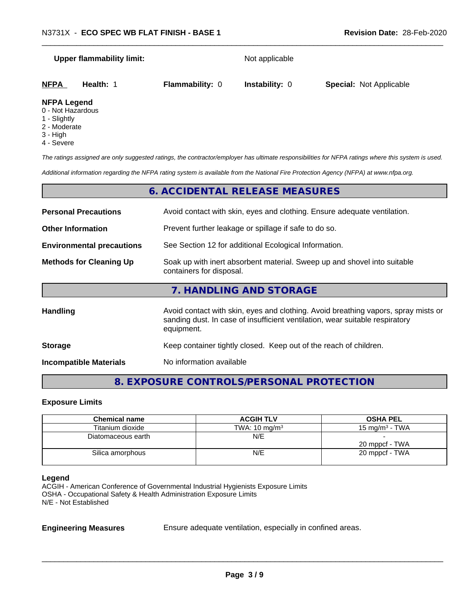|                         | <b>Upper flammability limit:</b> |                        | Not applicable        |                                |
|-------------------------|----------------------------------|------------------------|-----------------------|--------------------------------|
| <b>NFPA</b>             | Health: 1                        | <b>Flammability: 0</b> | <b>Instability: 0</b> | <b>Special: Not Applicable</b> |
| <b>NFPA Legend</b><br>. |                                  |                        |                       |                                |

# 0 - Not Hazardous

- 
- 1 Slightly
- 2 Moderate
- 3 High
- 4 Severe

*The ratings assigned are only suggested ratings, the contractor/employer has ultimate responsibilities for NFPA ratings where this system is used.*

*Additional information regarding the NFPA rating system is available from the National Fire Protection Agency (NFPA) at www.nfpa.org.*

|                                  | 6. ACCIDENTAL RELEASE MEASURES                                                                                                                                                   |
|----------------------------------|----------------------------------------------------------------------------------------------------------------------------------------------------------------------------------|
| <b>Personal Precautions</b>      | Avoid contact with skin, eyes and clothing. Ensure adequate ventilation.                                                                                                         |
| <b>Other Information</b>         | Prevent further leakage or spillage if safe to do so.                                                                                                                            |
| <b>Environmental precautions</b> | See Section 12 for additional Ecological Information.                                                                                                                            |
| <b>Methods for Cleaning Up</b>   | Soak up with inert absorbent material. Sweep up and shovel into suitable<br>containers for disposal.                                                                             |
|                                  | 7. HANDLING AND STORAGE                                                                                                                                                          |
| <b>Handling</b>                  | Avoid contact with skin, eyes and clothing. Avoid breathing vapors, spray mists or<br>sanding dust. In case of insufficient ventilation, wear suitable respiratory<br>equipment. |
| <b>Storage</b>                   | Keep container tightly closed. Keep out of the reach of children.                                                                                                                |
| <b>Incompatible Materials</b>    | No information available                                                                                                                                                         |

# **8. EXPOSURE CONTROLS/PERSONAL PROTECTION**

#### **Exposure Limits**

| <b>Chemical name</b> | <b>ACGIH TLV</b>         | <b>OSHA PEL</b>   |
|----------------------|--------------------------|-------------------|
| Titanium dioxide     | TWA: $10 \text{ mg/m}^3$ | 15 mg/m $3$ - TWA |
| Diatomaceous earth   | N/E                      |                   |
|                      |                          | 20 mppcf - TWA    |
| Silica amorphous     | N/E                      | 20 mppcf - TWA    |
|                      |                          |                   |

#### **Legend**

ACGIH - American Conference of Governmental Industrial Hygienists Exposure Limits OSHA - Occupational Safety & Health Administration Exposure Limits N/E - Not Established

**Engineering Measures** Ensure adequate ventilation, especially in confined areas.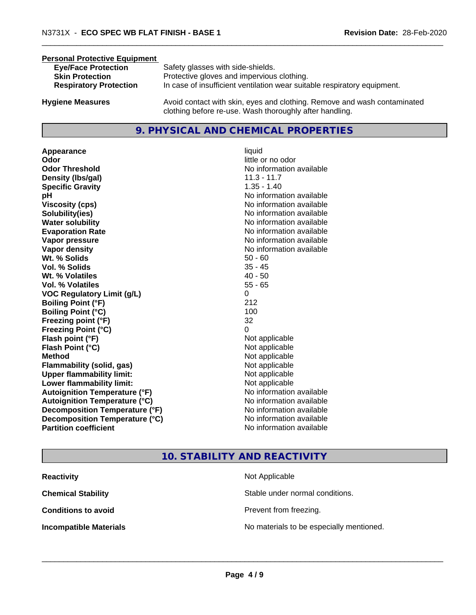#### **Personal Protective Equipment**

| <b>Eye/Face Protection</b><br><b>Skin Protection</b><br><b>Respiratory Protection</b> | Safety glasses with side-shields.<br>Protective gloves and impervious clothing.<br>In case of insufficient ventilation wear suitable respiratory equipment. |
|---------------------------------------------------------------------------------------|-------------------------------------------------------------------------------------------------------------------------------------------------------------|
|                                                                                       |                                                                                                                                                             |

**Hygiene Measures** Avoid contact with skin, eyes and clothing. Remove and wash contaminated clothing before re-use. Wash thoroughly after handling.

#### **9. PHYSICAL AND CHEMICAL PROPERTIES**

**Appearance** liquid **Odor** liquid **Odor Odor Threshold No information available No information available Density (lbs/gal)** 11.3 - 11.7 **Specific Gravity** 1.35 - 1.40 **pH** No information available **Viscosity (cps)** No information available **Solubility(ies)** No information available **Water solubility Water solubility Water solubility Water solubility Water solubility Water solution Evaporation Rate No information available No information available Vapor pressure** No information available **No information** available **Vapor density No information available No information available Wt.** % Solids 50 - 60 **Vol. % Solids** 35 - 45 **Wt. % Volatiles** 40 - 50 **Vol. % Volatiles** 55 - 65 **VOC Regulatory Limit (g/L)** 0 **Boiling Point (°F)** 212 **Boiling Point (°C)** 100 **Freezing point (°F)** 32 **Freezing Point (°C)** 0 **Flash point (°F)**  $\qquad \qquad$  Not applicable **Flash Point (°C)** Not applicable **Method** Not applicable **Flammability (solid, gas)** Not applicable **Upper flammability limit:** Not applicable **Lower flammability limit:** Not applicable **Autoignition Temperature (°F)** No information available **Autoignition Temperature (°C)** No information available **Decomposition Temperature (°F)** No information available **Decomposition Temperature (°C)**<br> **Partition coefficient Partition coefficient 1 Partition available No information available** 

# little or no odor **No information available**

# **10. STABILITY AND REACTIVITY**

| <b>Reactivity</b>             | Not Applicable                           |
|-------------------------------|------------------------------------------|
| <b>Chemical Stability</b>     | Stable under normal conditions.          |
| <b>Conditions to avoid</b>    | Prevent from freezing.                   |
| <b>Incompatible Materials</b> | No materials to be especially mentioned. |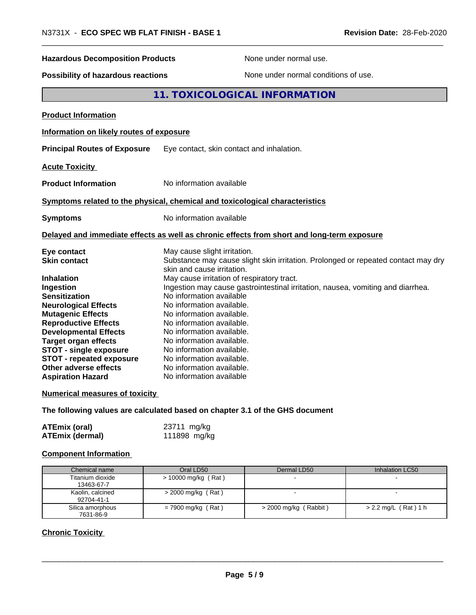| N3731X - ECO SPEC WB FLAT FINISH - BASE 1                                                  |                                                                                     | Revision Date: 28-Feb-2020                                                                 |
|--------------------------------------------------------------------------------------------|-------------------------------------------------------------------------------------|--------------------------------------------------------------------------------------------|
| <b>Hazardous Decomposition Products</b>                                                    |                                                                                     | None under normal use.                                                                     |
| <b>Possibility of hazardous reactions</b>                                                  |                                                                                     | None under normal conditions of use.                                                       |
|                                                                                            |                                                                                     | 11. TOXICOLOGICAL INFORMATION                                                              |
| <b>Product Information</b>                                                                 |                                                                                     |                                                                                            |
| Information on likely routes of exposure                                                   |                                                                                     |                                                                                            |
| <b>Principal Routes of Exposure</b>                                                        | Eye contact, skin contact and inhalation.                                           |                                                                                            |
| <b>Acute Toxicity</b>                                                                      |                                                                                     |                                                                                            |
| No information available<br><b>Product Information</b>                                     |                                                                                     |                                                                                            |
| Symptoms related to the physical, chemical and toxicological characteristics               |                                                                                     |                                                                                            |
| <b>Symptoms</b>                                                                            | No information available                                                            |                                                                                            |
|                                                                                            |                                                                                     | Delayed and immediate effects as well as chronic effects from short and long-term exposure |
| Eye contact<br><b>Skin contact</b>                                                         | May cause slight irritation.<br>skin and cause irritation.                          | Substance may cause slight skin irritation. Prolonged or repeated contact may dry          |
| Inhalation<br>Ingestion                                                                    | May cause irritation of respiratory tract.                                          | Ingestion may cause gastrointestinal irritation, nausea, vomiting and diarrhea.            |
| <b>Sensitization</b><br><b>Neurological Effects</b><br><b>Mutagenic Effects</b>            | No information available<br>No information available.<br>No information available.  |                                                                                            |
| <b>Reproductive Effects</b><br><b>Developmental Effects</b><br><b>Target organ effects</b> | No information available.<br>No information available.<br>No information available. |                                                                                            |
| <b>STOT - single exposure</b><br><b>STOT - repeated exposure</b>                           | No information available.<br>No information available.                              |                                                                                            |
| Other adverse effects<br><b>Aspiration Hazard</b>                                          | No information available.<br>No information available                               |                                                                                            |
| <b>Numerical measures of toxicity</b>                                                      |                                                                                     |                                                                                            |
| The following values are calculated based on chapter 3.1 of the GHS document               |                                                                                     |                                                                                            |

| <b>ATEmix (oral)</b>   | 23711 mg/kg  |
|------------------------|--------------|
| <b>ATEmix (dermal)</b> | 111898 mg/kg |

# **Component Information**

| Chemical name                  | Oral LD50             | Dermal LD50             | Inhalation LC50        |
|--------------------------------|-----------------------|-------------------------|------------------------|
| Titanium dioxide<br>13463-67-7 | $>$ 10000 mg/kg (Rat) |                         |                        |
| Kaolin, calcined<br>92704-41-1 | $>$ 2000 mg/kg (Rat)  |                         |                        |
| Silica amorphous<br>7631-86-9  | $= 7900$ mg/kg (Rat)  | $>$ 2000 mg/kg (Rabbit) | $> 2.2$ mg/L (Rat) 1 h |

# **Chronic Toxicity**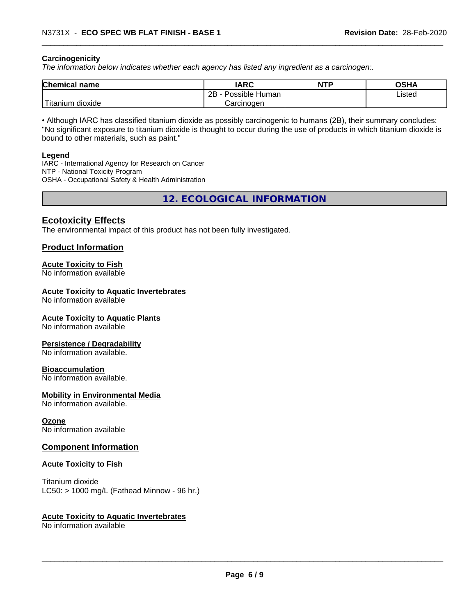#### **Carcinogenicity**

*The information below indicateswhether each agency has listed any ingredient as a carcinogen:.*

| <b>Chemical name</b>             | <b>IARC</b>               | <b>NTP</b> | <b>OSHA</b> |
|----------------------------------|---------------------------|------------|-------------|
|                                  | Possible<br>2B<br>· Human |            | Listed      |
| .<br>. dioxide<br><b>itanium</b> | Carcinoɑen                |            |             |

• Although IARC has classified titanium dioxide as possibly carcinogenic to humans (2B), their summary concludes: "No significant exposure to titanium dioxide is thought to occur during the use of products in which titanium dioxide is bound to other materials, such as paint."

#### **Legend**

IARC - International Agency for Research on Cancer NTP - National Toxicity Program OSHA - Occupational Safety & Health Administration

**12. ECOLOGICAL INFORMATION**

## **Ecotoxicity Effects**

The environmental impact of this product has not been fully investigated.

## **Product Information**

#### **Acute Toxicity to Fish**

No information available

#### **Acute Toxicity to Aquatic Invertebrates**

No information available

#### **Acute Toxicity to Aquatic Plants**

No information available

#### **Persistence / Degradability**

No information available.

#### **Bioaccumulation**

No information available.

#### **Mobility in Environmental Media**

No information available.

#### **Ozone**

No information available

#### **Component Information**

#### **Acute Toxicity to Fish**

Titanium dioxide  $LC50:$  > 1000 mg/L (Fathead Minnow - 96 hr.)

#### **Acute Toxicity to Aquatic Invertebrates**

No information available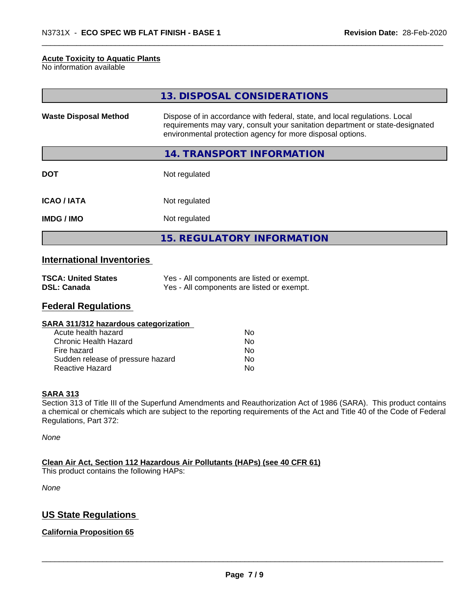#### **Acute Toxicity to Aquatic Plants**

No information available

|                              | 13. DISPOSAL CONSIDERATIONS                                                                                                                                                                                               |
|------------------------------|---------------------------------------------------------------------------------------------------------------------------------------------------------------------------------------------------------------------------|
| <b>Waste Disposal Method</b> | Dispose of in accordance with federal, state, and local regulations. Local<br>requirements may vary, consult your sanitation department or state-designated<br>environmental protection agency for more disposal options. |
|                              | 14. TRANSPORT INFORMATION                                                                                                                                                                                                 |
| <b>DOT</b>                   | Not regulated                                                                                                                                                                                                             |
| <b>ICAO/IATA</b>             | Not regulated                                                                                                                                                                                                             |
| <b>IMDG/IMO</b>              | Not regulated                                                                                                                                                                                                             |
|                              | <b>15. REGULATORY INFORMATION</b>                                                                                                                                                                                         |

## **International Inventories**

| <b>TSCA: United States</b> | Yes - All components are listed or exempt. |
|----------------------------|--------------------------------------------|
| DSL: Canada                | Yes - All components are listed or exempt. |

#### **Federal Regulations**

| Nο |  |
|----|--|
| Nο |  |
| No |  |
| No |  |
| No |  |
|    |  |

#### **SARA 313**

Section 313 of Title III of the Superfund Amendments and Reauthorization Act of 1986 (SARA). This product contains a chemical or chemicals which are subject to the reporting requirements of the Act and Title 40 of the Code of Federal Regulations, Part 372:

*None*

**Clean Air Act,Section 112 Hazardous Air Pollutants (HAPs) (see 40 CFR 61)** This product contains the following HAPs:

*None*

# **US State Regulations**

#### **California Proposition 65**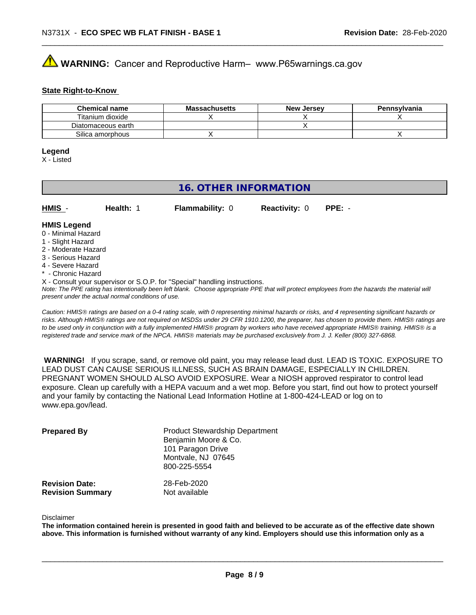# **AVIMARNING:** Cancer and Reproductive Harm– www.P65warnings.ca.gov

#### **State Right-to-Know**

| <b>Chemical name</b> | <b>Massachusetts</b> | <b>New Jersey</b> | Pennsylvania |
|----------------------|----------------------|-------------------|--------------|
| Titanium dioxide     |                      |                   |              |
| Diatomaceous earth   |                      |                   |              |
| Silica amorphous     |                      |                   |              |

#### **Legend**

X - Listed

# **16. OTHER INFORMATION**

| $HMIS -$           | Health: 1 | <b>Flammability: 0</b> | <b>Reactivity: 0</b> | $PPE: -$ |  |
|--------------------|-----------|------------------------|----------------------|----------|--|
| <b>HMIS Legend</b> |           |                        |                      |          |  |

#### 0 - Minimal Hazard

- 1 Slight Hazard
- 2 Moderate Hazard
- 3 Serious Hazard
- 4 Severe Hazard
- \* Chronic Hazard
- X Consult your supervisor or S.O.P. for "Special" handling instructions.

*Note: The PPE rating has intentionally been left blank. Choose appropriate PPE that will protect employees from the hazards the material will present under the actual normal conditions of use.*

*Caution: HMISÒ ratings are based on a 0-4 rating scale, with 0 representing minimal hazards or risks, and 4 representing significant hazards or risks. Although HMISÒ ratings are not required on MSDSs under 29 CFR 1910.1200, the preparer, has chosen to provide them. HMISÒ ratings are to be used only in conjunction with a fully implemented HMISÒ program by workers who have received appropriate HMISÒ training. HMISÒ is a registered trade and service mark of the NPCA. HMISÒ materials may be purchased exclusively from J. J. Keller (800) 327-6868.*

 **WARNING!** If you scrape, sand, or remove old paint, you may release lead dust. LEAD IS TOXIC. EXPOSURE TO LEAD DUST CAN CAUSE SERIOUS ILLNESS, SUCH AS BRAIN DAMAGE, ESPECIALLY IN CHILDREN. PREGNANT WOMEN SHOULD ALSO AVOID EXPOSURE.Wear a NIOSH approved respirator to control lead exposure. Clean up carefully with a HEPA vacuum and a wet mop. Before you start, find out how to protect yourself and your family by contacting the National Lead Information Hotline at 1-800-424-LEAD or log on to www.epa.gov/lead.

| <b>Prepared By</b>                               | <b>Product Stewardship Department</b><br>Benjamin Moore & Co.<br>101 Paragon Drive<br>Montvale, NJ 07645<br>800-225-5554 |  |
|--------------------------------------------------|--------------------------------------------------------------------------------------------------------------------------|--|
| <b>Revision Date:</b><br><b>Revision Summary</b> | 28-Feb-2020<br>Not available                                                                                             |  |

#### Disclaimer

The information contained herein is presented in good faith and believed to be accurate as of the effective date shown above. This information is furnished without warranty of any kind. Employers should use this information only as a